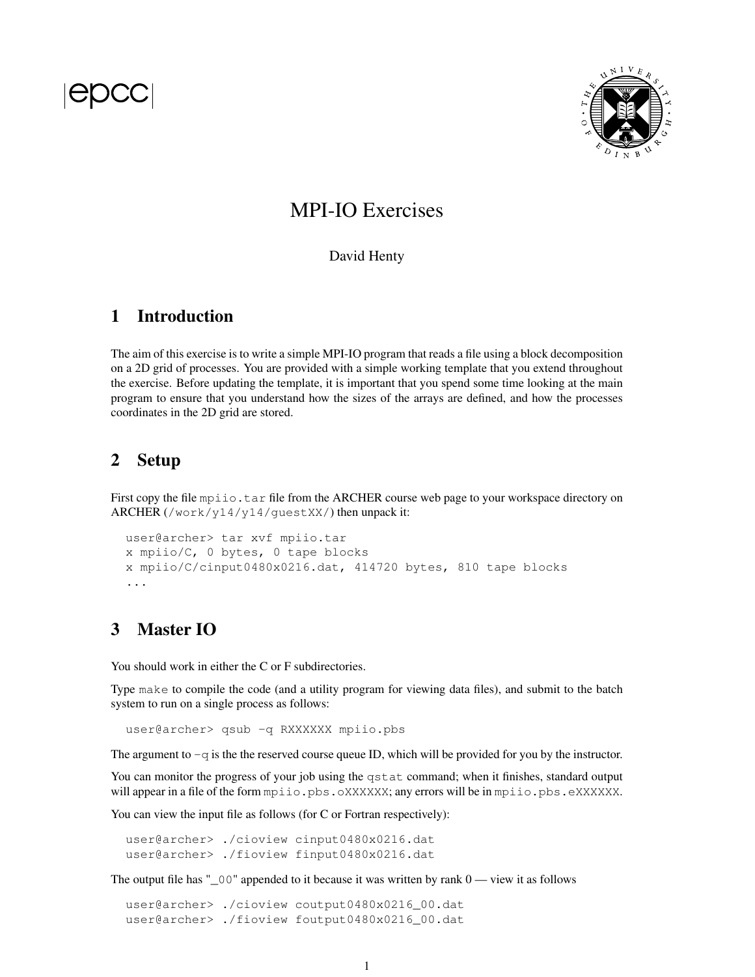

# MPI-IO Exercises

#### David Henty

# 1 Introduction

The aim of this exercise is to write a simple MPI-IO program that reads a file using a block decomposition on a 2D grid of processes. You are provided with a simple working template that you extend throughout the exercise. Before updating the template, it is important that you spend some time looking at the main program to ensure that you understand how the sizes of the arrays are defined, and how the processes coordinates in the 2D grid are stored.

# 2 Setup

First copy the file mpiio.tar file from the ARCHER course web page to your workspace directory on ARCHER (/work/y14/y14/guestXX/) then unpack it:

```
user@archer> tar xvf mpiio.tar
x mpiio/C, 0 bytes, 0 tape blocks
x mpiio/C/cinput0480x0216.dat, 414720 bytes, 810 tape blocks
...
```
# 3 Master IO

You should work in either the C or F subdirectories.

Type make to compile the code (and a utility program for viewing data files), and submit to the batch system to run on a single process as follows:

user@archer> qsub -q RXXXXXX mpiio.pbs

The argument to  $-q$  is the the reserved course queue ID, which will be provided for you by the instructor.

You can monitor the progress of your job using the qstat command; when it finishes, standard output will appear in a file of the form mpiio.pbs.oXXXXXX; any errors will be in mpiio.pbs.eXXXXXX.

You can view the input file as follows (for C or Fortran respectively):

user@archer> ./cioview cinput0480x0216.dat user@archer> ./fioview finput0480x0216.dat

The output file has " $\sim 00$ " appended to it because it was written by rank  $0 \rightarrow$  view it as follows

user@archer> ./cioview coutput0480x0216 00.dat user@archer> ./fioview foutput0480x0216\_00.dat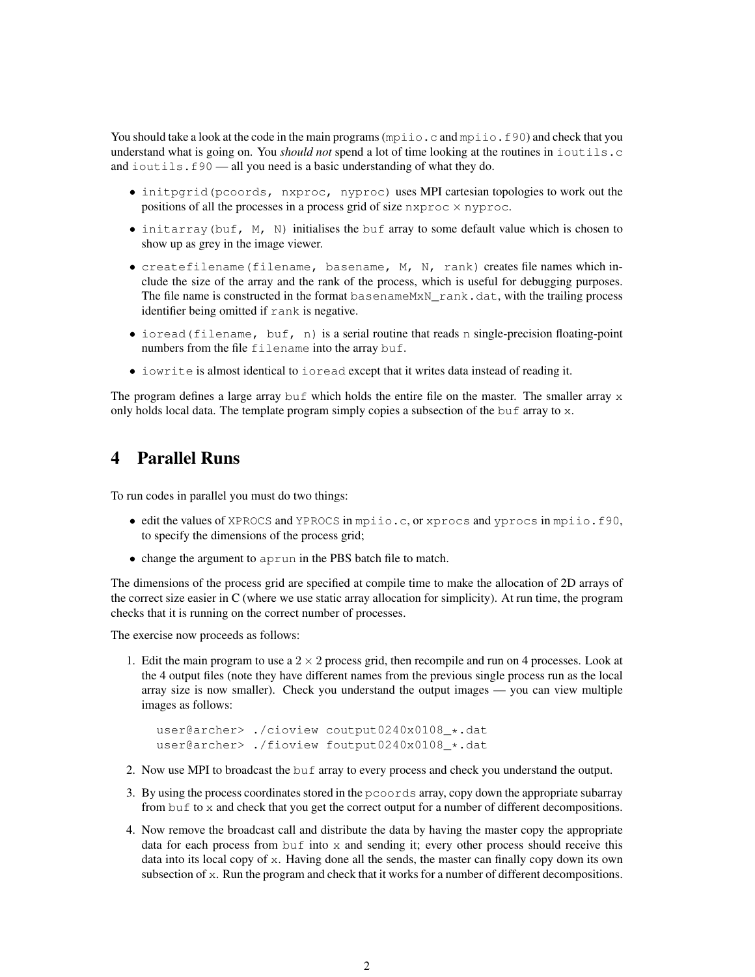You should take a look at the code in the main programs ( $mpiio$ .c and  $mpiio$ .f90) and check that you understand what is going on. You *should not* spend a lot of time looking at the routines in ioutils.c and ioutils.f90 — all you need is a basic understanding of what they do.

- initpgrid(pcoords, nxproc, nyproc) uses MPI cartesian topologies to work out the positions of all the processes in a process grid of size  $n \times p \times c$ .
- $\bullet$  initarray (buf, M, N) initialises the buf array to some default value which is chosen to show up as grey in the image viewer.
- createfilename(filename, basename, M, N, rank) creates file names which include the size of the array and the rank of the process, which is useful for debugging purposes. The file name is constructed in the format basenameMxN rank.dat, with the trailing process identifier being omitted if rank is negative.
- ioread (filename, buf, n) is a serial routine that reads n single-precision floating-point numbers from the file filename into the array buf.
- iowrite is almost identical to ioread except that it writes data instead of reading it.

The program defines a large array buf which holds the entire file on the master. The smaller array  $\times$ only holds local data. The template program simply copies a subsection of the buf array to  $x$ .

## 4 Parallel Runs

To run codes in parallel you must do two things:

- edit the values of XPROCS and YPROCS in mpiio.c, or xprocs and yprocs in mpiio.f90, to specify the dimensions of the process grid;
- change the argument to aprun in the PBS batch file to match.

The dimensions of the process grid are specified at compile time to make the allocation of 2D arrays of the correct size easier in C (where we use static array allocation for simplicity). At run time, the program checks that it is running on the correct number of processes.

The exercise now proceeds as follows:

1. Edit the main program to use a  $2 \times 2$  process grid, then recompile and run on 4 processes. Look at the 4 output files (note they have different names from the previous single process run as the local array size is now smaller). Check you understand the output images — you can view multiple images as follows:

```
user@archer> ./cioview coutput0240x0108_*.dat
user@archer> ./fioview foutput0240x0108_*.dat
```
- 2. Now use MPI to broadcast the buf array to every process and check you understand the output.
- 3. By using the process coordinates stored in the pcoords array, copy down the appropriate subarray from buf to x and check that you get the correct output for a number of different decompositions.
- 4. Now remove the broadcast call and distribute the data by having the master copy the appropriate data for each process from buf into  $x$  and sending it; every other process should receive this data into its local copy of x. Having done all the sends, the master can finally copy down its own subsection of  $x$ . Run the program and check that it works for a number of different decompositions.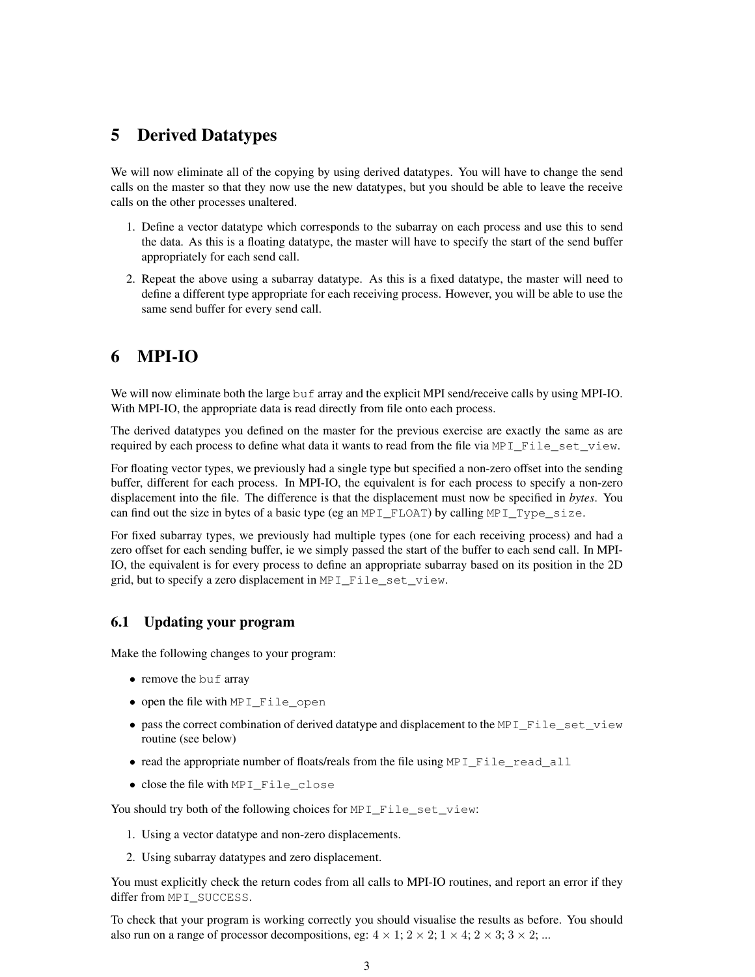# 5 Derived Datatypes

We will now eliminate all of the copying by using derived datatypes. You will have to change the send calls on the master so that they now use the new datatypes, but you should be able to leave the receive calls on the other processes unaltered.

- 1. Define a vector datatype which corresponds to the subarray on each process and use this to send the data. As this is a floating datatype, the master will have to specify the start of the send buffer appropriately for each send call.
- 2. Repeat the above using a subarray datatype. As this is a fixed datatype, the master will need to define a different type appropriate for each receiving process. However, you will be able to use the same send buffer for every send call.

# 6 MPI-IO

We will now eliminate both the large buf array and the explicit MPI send/receive calls by using MPI-IO. With MPI-IO, the appropriate data is read directly from file onto each process.

The derived datatypes you defined on the master for the previous exercise are exactly the same as are required by each process to define what data it wants to read from the file via MPI File set view.

For floating vector types, we previously had a single type but specified a non-zero offset into the sending buffer, different for each process. In MPI-IO, the equivalent is for each process to specify a non-zero displacement into the file. The difference is that the displacement must now be specified in *bytes*. You can find out the size in bytes of a basic type (eg an MPI\_FLOAT) by calling MPI\_Type\_size.

For fixed subarray types, we previously had multiple types (one for each receiving process) and had a zero offset for each sending buffer, ie we simply passed the start of the buffer to each send call. In MPI-IO, the equivalent is for every process to define an appropriate subarray based on its position in the 2D grid, but to specify a zero displacement in MPI\_File\_set\_view.

### 6.1 Updating your program

Make the following changes to your program:

- remove the buf array
- open the file with MPI\_File\_open
- pass the correct combination of derived datatype and displacement to the MPI\_File\_set\_view routine (see below)
- read the appropriate number of floats/reals from the file using MPI\_File\_read\_all
- close the file with MPI\_File\_close

You should try both of the following choices for MPI\_File\_set\_view:

- 1. Using a vector datatype and non-zero displacements.
- 2. Using subarray datatypes and zero displacement.

You must explicitly check the return codes from all calls to MPI-IO routines, and report an error if they differ from MPI\_SUCCESS.

To check that your program is working correctly you should visualise the results as before. You should also run on a range of processor decompositions, eg:  $4 \times 1$ ;  $2 \times 2$ ;  $1 \times 4$ ;  $2 \times 3$ ;  $3 \times 2$ ; ...